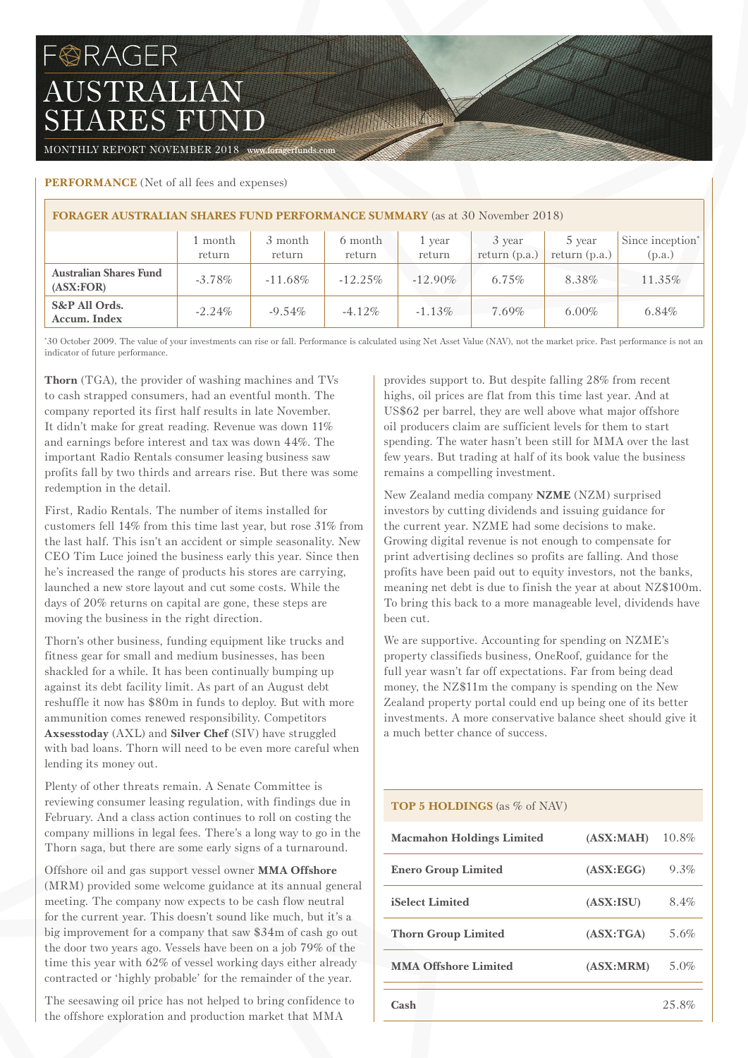# FORAGER AUSTRALIAN SHARES FUND

MONTHLY REPORT NOVEMBER 2018 www.foragerfunds.com

# **PERFORMANCE** (Net of all fees and expenses)

| <b>FORAGER AUSTRALIAN SHARES FUND PERFORMANCE SUMMARY</b> (as at 30 November 2018) |                   |                   |                   |                  |                           |                           |                                        |  |  |
|------------------------------------------------------------------------------------|-------------------|-------------------|-------------------|------------------|---------------------------|---------------------------|----------------------------------------|--|--|
|                                                                                    | 1 month<br>return | 3 month<br>return | 6 month<br>return | 1 vear<br>return | 3 year<br>return $(p.a.)$ | 5 year<br>return $(p.a.)$ | Since inception <sup>*</sup><br>(p.a.) |  |  |
| <b>Australian Shares Fund</b><br>(ASK:FOR)                                         | $-3.78\%$         | $-11.68\%$        | $-12.25\%$        | $-12.90\%$       | $6.75\%$                  | 8.38%                     | 11.35%                                 |  |  |
| S&P All Ords.<br>Accum. Index                                                      | $-2.24\%$         | $-9.54\%$         | $-4.12\%$         | $-1.13%$         | $7.69\%$                  | $6.00\%$                  | 6.84%                                  |  |  |

The Committee

\* 30 October 2009. The value of your investments can rise or fall. Performance is calculated using Net Asset Value (NAV), not the market price. Past performance is not an indicator of future performance.

**Thorn** (TGA), the provider of washing machines and TVs to cash strapped consumers, had an eventful month. The company reported its first half results in late November. It didn't make for great reading. Revenue was down 11% and earnings before interest and tax was down 44%. The important Radio Rentals consumer leasing business saw profits fall by two thirds and arrears rise. But there was some redemption in the detail.

First, Radio Rentals. The number of items installed for customers fell 14% from this time last year, but rose 31% from the last half. This isn't an accident or simple seasonality. New CEO Tim Luce joined the business early this year. Since then he's increased the range of products his stores are carrying, launched a new store layout and cut some costs. While the days of 20% returns on capital are gone, these steps are moving the business in the right direction.

Thorn's other business, funding equipment like trucks and fitness gear for small and medium businesses, has been shackled for a while. It has been continually bumping up against its debt facility limit. As part of an August debt reshuffle it now has \$80m in funds to deploy. But with more ammunition comes renewed responsibility. Competitors **Axsesstoday** (AXL) and **Silver Chef** (SIV) have struggled with bad loans. Thorn will need to be even more careful when lending its money out.

Plenty of other threats remain. A Senate Committee is reviewing consumer leasing regulation, with findings due in February. And a class action continues to roll on costing the company millions in legal fees. There's a long way to go in the Thorn saga, but there are some early signs of a turnaround.

Offshore oil and gas support vessel owner **MMA Offshore** (MRM) provided some welcome guidance at its annual general meeting. The company now expects to be cash flow neutral for the current year. This doesn't sound like much, but it's a big improvement for a company that saw \$34m of cash go out the door two years ago. Vessels have been on a job 79% of the time this year with 62% of vessel working days either already contracted or 'highly probable' for the remainder of the year.

The seesawing oil price has not helped to bring confidence to the offshore exploration and production market that MMA

provides support to. But despite falling 28% from recent highs, oil prices are flat from this time last year. And at US\$62 per barrel, they are well above what major offshore oil producers claim are sufficient levels for them to start spending. The water hasn't been still for MMA over the last few years. But trading at half of its book value the business remains a compelling investment.

New Zealand media company **NZME** (NZM) surprised investors by cutting dividends and issuing guidance for the current year. NZME had some decisions to make. Growing digital revenue is not enough to compensate for print advertising declines so profits are falling. And those profits have been paid out to equity investors, not the banks, meaning net debt is due to finish the year at about NZ\$100m. To bring this back to a more manageable level, dividends have been cut.

We are supportive. Accounting for spending on NZME's property classifieds business, OneRoof, guidance for the full year wasn't far off expectations. Far from being dead money, the NZ\$11m the company is spending on the New Zealand property portal could end up being one of its better investments. A more conservative balance sheet should give it a much better chance of success.

# **TOP 5 HOLDINGS** (as % of NAV)

| <b>Macmahon Holdings Limited</b> | (ASK:MAH)  | 10.8% |
|----------------------------------|------------|-------|
| <b>Enero Group Limited</b>       | (ASK:EGG)  | 9.3%  |
| <b>iSelect Limited</b>           | (ASX:ISU)  | 8.4%  |
| <b>Thorn Group Limited</b>       | (ASK: TGA) | 5.6%  |
| <b>MMA Offshore Limited</b>      | (ASK: MRM) | 5.0%  |
| Cash                             |            | 25.8% |